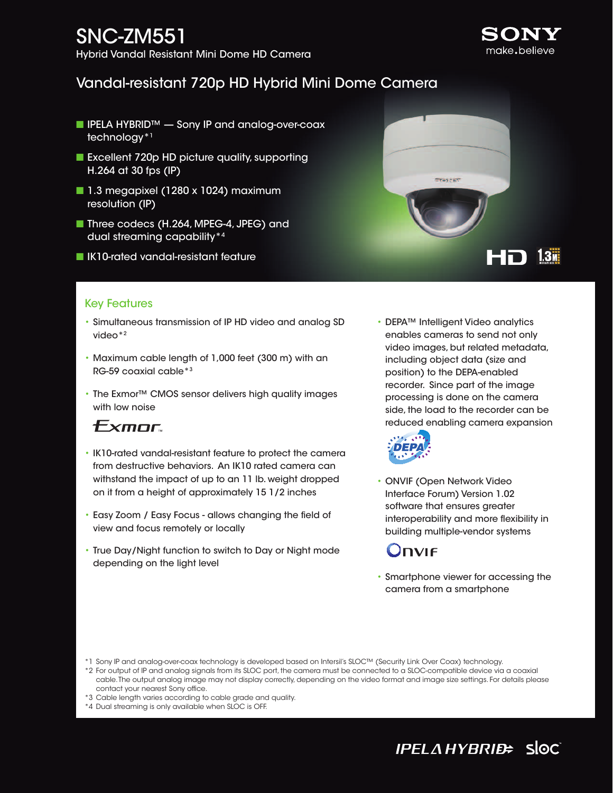# SNC-ZM551

Hybrid Vandal Resistant Mini Dome HD Camera

## Vandal-resistant 720p HD Hybrid Mini Dome Camera

- IPELA HYBRID™ Sony IP and analog-over-coax technology\*1
- Excellent 720p HD picture quality, supporting H.264 at 30 fps (IP)
- 1.3 megapixel (1280 x 1024) maximum resolution (IP)
- Three codecs (H.264, MPEG-4, JPEG) and dual streaming capability\*4
- **No IK10-rated vandal-resistant feature**



#### Key Features

- Simultaneous transmission of IP HD video and analog SD video\*2
- Maximum cable length of 1,000 feet (300 m) with an RG-59 coaxial cable\*3
- The Exmor™ CMOS sensor delivers high quality images with low noise

## Exmor

- IK10-rated vandal-resistant feature to protect the camera from destructive behaviors. An IK10 rated camera can withstand the impact of up to an 11 lb. weight dropped on it from a height of approximately 15 1/2 inches
- Easy Zoom / Easy Focus allows changing the field of view and focus remotely or locally
- True Day/Night function to switch to Day or Night mode depending on the light level

• DEPA™ Intelligent Video analytics enables cameras to send not only video images, but related metadata, including object data (size and position) to the DEPA-enabled recorder. Since part of the image processing is done on the camera side, the load to the recorder can be reduced enabling camera expansion



• ONVIF (Open Network Video Interface Forum) Version 1.02 software that ensures greater interoperability and more flexibility in building multiple-vendor systems

## )NVIF

• Smartphone viewer for accessing the camera from a smartphone

\*1 Sony IP and analog-over-coax technology is developed based on Intersil's SLOC™ (Security Link Over Coax) technology.

\*2 For output of IP and analog signals from its SLOC port, the camera must be connected to a SLOC-compatible device via a coaxial cable. The output analog image may not display correctly, depending on the video format and image size settings. For details please contact your nearest Sony office.

- \*3 Cable length varies according to cable grade and quality.
- \*4 Dual streaming is only available when SLOC is OFF.